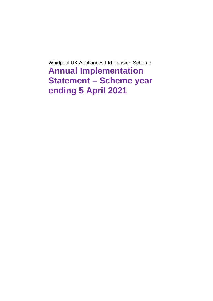Whirlpool UK Appliances Ltd Pension Scheme **Annual Implementation Statement – Scheme year ending 5 April 2021**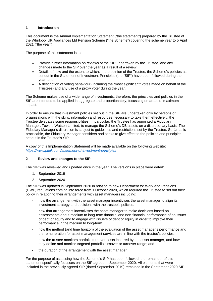### **1 Introduction**

This document is the Annual Implementation Statement ("the statement") prepared by the Trustee of the Whirlpool UK Appliances Ltd Pension Scheme ("the Scheme") covering the scheme year to 5 April 2021 ("the year").

The purpose of this statement is to:

- Provide further information on reviews of the SIP undertaken by the Trustee, and any changes made to the SIP over the year as a result of a review.
- Details of how and the extent to which, in the opinion of the Trustee, the Scheme's policies as set out in the Statement of Investment Principles (the "SIP") have been followed during the year; and
- A description of voting behaviour (including the "most significant" votes made on behalf of the Trustees) and any use of a proxy voter during the year.

The Scheme makes use of a wide range of investments; therefore, the principles and policies in the SIP are intended to be applied in aggregate and proportionately, focussing on areas of maximum impact.

In order to ensure that investment policies set out in the SIP are undertaken only by persons or organisations with the skills, information and resources necessary to take them effectively, the Trustee delegates some responsibilities. In particular, the Trustee has appointed a Fiduciary Manager, Towers Watson Limited, to manage the Scheme's DB assets on a discretionary basis. The Fiduciary Manager's discretion is subject to guidelines and restrictions set by the Trustee. So far as is practicable, the Fiduciary Manager considers and seeks to give effect to the policies and principles set out in the Trustee's SIP.

A copy of this Implementation Statement will be made available on the following website: *<https://www.ptluk.com/statement-of-investment-principles>*

## **2 Review and changes to the SIP**

The SIP was reviewed and updated once in the year. The versions in place were dated:

- 1. September 2019
- 2. September 2020

The SIP was updated in September 2020 in relation to new Department for Work and Pensions (DWP) regulations coming into force from 1 October 2020, which required the Trustee to set out their policy in relation to their arrangements with asset managers including:

- how the arrangement with the asset manager incentivises the asset manager to align its investment strategy and decisions with the trustee's policies.
- how that arrangement incentivises the asset manager to make decisions based on assessments about medium to long-term financial and non-financial performance of an issuer of debt or equity and to engage with issuers of debt or equity in order to improve their performance in the medium to long-term.
- how the method (and time horizon) of the evaluation of the asset manager's performance and the remuneration for asset management services are in line with the trustee's policies.
- how the trustee monitors portfolio turnover costs incurred by the asset manager, and how they define and monitor targeted portfolio turnover or turnover range; and
- the duration of the arrangement with the asset manager.

For the purpose of assessing how the Scheme's SIP has been followed, the remainder of this statement specifically focusses on the SIP agreed in September 2020. All elements that were included in the previously agreed SIP (dated September 2019) remained in the September 2020 SIP.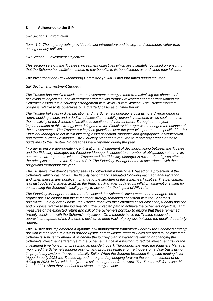### **3 Adherence to the SIP**

### *SIP Section 1: Introduction*

*Items 1-2: These paragraphs provide relevant introductory and background comments rather than setting out any policies.*

### *SIP Section 2: Investment Objectives*

*This section sets out the Trustee's investment objectives which are ultimately focussed on ensuring that the Scheme has sufficient assets to pay benefits to its beneficiaries as and when they fall due.*

*The Investment and Risk Monitoring Committee ("IRMC") met four times during the year.*

### *SIP Section 3: Investment Strategy*

*The Trustee has received advice on an investment strategy aimed at maximising the chances of achieving its objectives. The investment strategy was formally reviewed ahead of transitioning the Scheme's assets into a fiduciary arrangement with Willis Towers Watson. The Trustee monitors progress relative to its objectives on a quarterly basis as outlined below.*

*The Trustee believes in diversification and the Scheme's portfolio is built using a diverse range of return-seeking assets and a dedicated allocation to liability driven investments which seek to match the sensitivity of the Scheme's liabilities to inflation and interest rates. Throughout the year, implementation of this strategy was delegated to the Fiduciary Manager who managed the balance of these investments. The Trustee put in place guidelines over the year with parameters specified for the Fiduciary Manager to act within including asset allocation, manager and geographical diversification, and foreign currency exposure. The Fiduciary Manager is required to report any breach of these guidelines to the Trustee. No breaches were reported during the year.*

*In order to ensure appropriate incentivisation and alignment of decision-making between the Trustee and the Fiduciary Manager, the Fiduciary Manager is subject to a number of obligations set out in its contractual arrangements with the Trustee and the Fiduciary Manager is aware of and gives effect to the principles set out in the Trustee's SIP. The Fiduciary Manager acted in accordance with these obligations throughout the year.* 

*The Trustee's investment strategy seeks to outperform a benchmark based on a projection of the Scheme's liability cashflows. The liability benchmark is updated following each actuarial valuation, and when there is any significant change to the structure of the Scheme's liabilities. The benchmark was last updated in March 2021 as the Fiduciary Manager updated its inflation assumptions used for constructing the Scheme's liability proxy to account for the impact of RPI reform.*

*The Fiduciary Manager monitored and reviewed the Scheme's investments and managers on a regular basis to ensure that the investment strategy remained consistent with the Scheme's objectives. On a quarterly basis, the Trustee reviewed the Scheme's asset allocation, funding position and progress relative to the journey plan (the projected path to achieve the Scheme's objective), and measures of the expected return and risk of the Scheme's portfolio to ensure that these remained broadly consistent with the Scheme's objectives. On a monthly basis the Trustee received an approximate update of the Scheme's position to keep track of progress between the detailed quarterly reports.*

*The Trustee has implemented a dynamic risk management framework whereby the Scheme's funding position is monitored relative to agreed upside and downside triggers which are used to indicate if the Scheme is sufficiently ahead of or behind the journey plan to warrant reviewing or changing the Scheme's investment strategy (e.g. the Scheme may be in a position to reduce investment risk or the investment time horizon on breaching an upside trigger). Throughout the year, the Fiduciary Manager monitored the Scheme's funding position and progress relative to the triggers on a daily basis using its proprietary system, the Asset Liability Suite. When the Scheme breached its upside funding level trigger in early 2021 the Trustee agreed to respond by bringing forward the commencement of derisking to 2024, in line with the dynamic risk management framework. The Trustee will formalise this later in 2021 when they conduct a desktop strategy review.*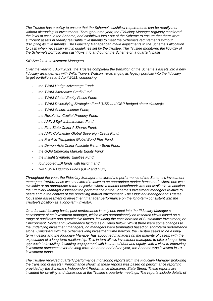*The Trustee has a policy to ensure that the Scheme's cashflow requirements can be readily met without disrupting its investments. Throughout the year, the Fiduciary Manager regularly monitored the level of cash in the Scheme, and cashflows into / out of the Scheme to ensure that there were sufficient assets in readily realisable investments to meet the Scheme's requirements without disrupting its investments. The Fiduciary Manager can make adjustments to the Scheme's allocation to cash when necessary within guidelines set by the Trustee. The Trustee monitored the liquidity of the Scheme's portfolio and cashflows into and out of the Scheme on a quarterly basis.*

### *SIP Section 4: Investment Managers*

*Over the year to 5 April 2021, the Trustee completed the transition of the Scheme's assets into a new fiduciary arrangement with Willis Towers Watson, re-arranging its legacy portfolio into the fiduciary target portfolio as at 5 April 2021, comprising:*

- *the TWIM Hedge Advantage Fund;*
- *the TWIM Alternative Credit Fund*
- *the TWIM Global Equity Focus Fund;*
- *the TWIM Diversifying Strategies Fund (USD and GBP hedged share classes);;*
- *the TWIM Secure Income Fund;*
- *the Resolution Capital Property Fund;*
- *the AMX SSgA Infrastructure Fund;*
- *the First State China A Shares Fund;*
- *the AMX Colchester Global Sovereign Credit Fund;*
- *the Franklin Templeton Global Bond Plus Fund;*
- *the Dymon Asia China Absolute Return Bond Fund;*
- *the GQG Emerging Markets Equity Fund;*
- *the Insight Synthetic Equities Fund;*
- *four pooled LDI funds with Insight; and*
- *two SSGA Liquidity Funds (GBP and USD).*

*Throughout the year, the Fiduciary Manager monitored the performance of the Scheme's investment managers. Performance was monitored relative to an appropriate market benchmark where one was available or an appropriate return objective where a market benchmark was not available. In addition, the Fiduciary Manager assessed the performance of the Scheme's investment managers relative to peers and in the context of the prevailing market environment. The Fiduciary Manager and Trustee focus their assessment of investment manager performance on the long-term consistent with the Trustee's position as a long-term investor.* 

*On a forward-looking basis, past performance is only one input into the Fiduciary Manager's assessment of an investment manager, which relies predominantly on research views based on a range of qualitative and quantitative factors, including the consideration of Sustainable Investment, or Environment, Social and Governance factors as outlined below. Whilst there were some changes to the underlying investment managers, no managers were terminated based on short-term performance alone. Consistent with the Scheme's long investment time horizon, the Trustee seeks to be a longterm investor and the Fiduciary Manager has appointed managers (in the majority of cases) with the expectation of a long-term relationship. This in turn allows investment managers to take a longer-term approach to investing, including engagement with issuers of debt and equity, with a view to improving investment outcomes over the long term. As at the end of the year, the Scheme was invested in 19 investment funds.* 

*The Trustee received quarterly performance monitoring reports from the Fiduciary Manager (following the transition of assets). Performance shown in these reports was based on performance reporting provided by the Scheme's Independent Performance Measurer, State Street. These reports are included for scrutiny and discussion at the Trustee's quarterly meetings. The reports include details of*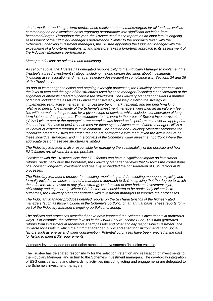*short-, medium- and longer-term performance relative to benchmarks/targets for all funds as well as commentary on an exceptions basis regarding performance with significant deviation from benchmark/target. Throughout the year, the Trustee used these reports as an input into its ongoing assessment of the Fiduciary Manager's performance. Similar to the approach taken with the Scheme's underlying investment managers, the Trustee appointed the Fiduciary Manager with the expectation of a long-term relationship and therefore takes a long-term approach to its assessment of the Fiduciary Manager's performance.*

### *Manager selection: de-selection and monitoring*

*As set out above, the Trustee has delegated responsibility to the Fiduciary Manager to implement the Trustee's agreed investment strategy, including making certain decisions about investments (including asset allocation and manager selection/deselection) in compliance with Sections 34 and 36 of the Pensions Act.* 

*As part of its manager selection and ongoing oversight processes, the Fiduciary Manager considers the level of fees and the type of fee structures used by each manager (including a consideration of the alignment of interests created by certain fee structures). The Fiduciary Manager considers a number of factors including the asset class / investment strategy, the way in which the strategy is implemented (e.g. active management or passive benchmark tracking), and fee benchmarking relative to peers. The majority of the Scheme's investment managers were paid an ad valorem fee, in line with normal market practice, for a given scope of services which includes consideration of longterm factors and engagement. The exceptions to this were in the areas of Secure Income Assets ("SIAs") where part of the manager's remuneration was based on its performance over an appropriate time horizon. The use of performance fees for these types of investments (where manager skill is a key driver of expected returns) is quite common. The Trustee and Fiduciary Manager recognise the incentives created by such fee structures and are comfortable with them given the active nature of these individual strategies, and in the context of the Scheme's wider investment portfolio where the aggregate use of these fee structures is limited.*

*The Fiduciary Manager is also responsible for managing the sustainability of the portfolio and how ESG factors are allowed for in the portfolio.*

*Consistent with the Trustee's view that ESG factors can have a significant impact on investment returns, particularly over the long-term, the Fiduciary Manager believes that SI forms the cornerstone of successful long-term investment and has fully embedded the consideration of ESG factors in its processes.* 

*The Fiduciary Manager's process for selecting, monitoring and de-selecting managers explicitly and formally includes an assessment of a manager's approach to SI (recognising that the degree to which these factors are relevant to any given strategy is a function of time horizon, investment style, philosophy and exposures). Where ESG factors are considered to be particularly influential to outcomes, the Fiduciary Manager engages with investment managers to improve their processes.* 

*The Fiduciary Manager produces detailed reports on the SI characteristics of the highest-rated managers (such as those included in the Scheme's portfolio) on an annual basis. These reports form part of the Fiduciary Manager's ongoing portfolio monitoring.* 

*The policies and processes described above have impacted the Scheme's investments in numerous ways. For example, the Scheme invests in the TWIM Secure Income Fund: This fund generates returns from investment in renewable energy assets and other socially responsible investment. The universe for assets in which the fund manager can buy is screened for Environmental and Social factors such as energy and water consumption. Potential purchases have been rejected in the past for failing to meet ESG requirements.*

### Company level engagement and rights attached to investments (including voting):

The Trustee has delegated responsibility for the selection, retention and realisation of investments to the Fiduciary Manager, and in turn to the Scheme's investment managers. The day-to-day integration of ESG considerations and stewardship activities (including voting and engagement) are delegated to the Scheme's investment managers.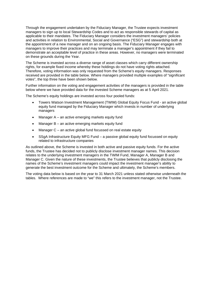Through the engagement undertaken by the Fiduciary Manager, the Trustee expects investment managers to sign up to local Stewardship Codes and to act as responsible stewards of capital as applicable to their mandates. The Fiduciary Manager considers the investment managers' policies and activities in relation to Environmental, Social and Governance ("ESG") and stewardship both at the appointment of a new manager and on an ongoing basis. The Fiduciary Manager engages with managers to improve their practices and may terminate a manager's appointment if they fail to demonstrate an acceptable level of practice in these areas. However, no managers were terminated on these grounds during the Year.

The Scheme is invested across a diverse range of asset classes which carry different ownership rights, for example fixed income whereby these holdings do not have voting rights attached. Therefore, voting information was only requested from the Scheme's equity managers. Responses received are provided in the table below. Where managers provided multiple examples of "significant votes", the top three have been shown below.

Further information on the voting and engagement activities of the managers is provided in the table below where we have provided data for the invested Scheme managers as at 5 April 2021.

The Scheme's equity holdings are invested across four pooled funds:

- Towers Watson Investment Management (TWIM) Global Equity Focus Fund an active global equity fund managed by the Fiduciary Manager which invests in number of underlying managers
- Manager  $A -$  an active emerging markets equity fund
- Manager B an active emerging markets equity fund
- Manager C an active global fund focussed on real estate equity
- SSgA Infrastructure Equity MFG Fund a passive global equity fund focussed on equity related to infrastructure companies

As outlined above, the Scheme is invested in both active and passive equity funds. For the active funds, the Trustee has decided not to publicly disclose investment manager names. This decision relates to the underlying investment managers in the TWIM Fund, Manager A, Manager B and Manager C. Given the nature of these investments, the Trustee believes that publicly disclosing the names of the Scheme's investment managers could impact the investment manager's ability to generate the best investment outcome for the Scheme and ultimately, the Scheme's members.

The voting data below is based on the year to 31 March 2021 unless stated otherwise underneath the tables. Where references are made to "we" this refers to the investment manager, not the Trustee.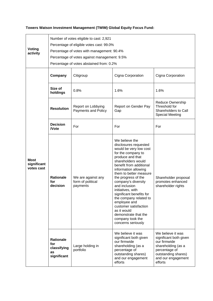# **Towers Watson Investment Management (TWIM) Global Equity Focus Fund:**

| Voting<br>activity                       | Number of votes eligible to cast: 2,921<br>Percentage of eligible votes cast: 99.0%<br>Percentage of votes with management: 90.4%<br>Percentage of votes against management: 9.5%<br>Percentage of votes abstained from: 0.2% |                                                     |                                                                                                                                                                                                                                                                                                                                                                                                                                                                                    |                                                                                                                                                            |
|------------------------------------------|-------------------------------------------------------------------------------------------------------------------------------------------------------------------------------------------------------------------------------|-----------------------------------------------------|------------------------------------------------------------------------------------------------------------------------------------------------------------------------------------------------------------------------------------------------------------------------------------------------------------------------------------------------------------------------------------------------------------------------------------------------------------------------------------|------------------------------------------------------------------------------------------------------------------------------------------------------------|
|                                          | Company                                                                                                                                                                                                                       | Citigroup                                           | Cigna Corporation                                                                                                                                                                                                                                                                                                                                                                                                                                                                  | Cigna Corporation                                                                                                                                          |
|                                          | Size of<br>holdings                                                                                                                                                                                                           | 0.8%                                                | 1.6%                                                                                                                                                                                                                                                                                                                                                                                                                                                                               | 1.6%                                                                                                                                                       |
| <b>Most</b><br>significant<br>votes cast | <b>Resolution</b>                                                                                                                                                                                                             | Report on Lobbying<br>Payments and Policy           | Report on Gender Pay<br>Gap                                                                                                                                                                                                                                                                                                                                                                                                                                                        | Reduce Ownership<br>Threshold for<br>Shareholders to Call<br><b>Special Meeting</b>                                                                        |
|                                          | <b>Decision</b><br><b>Note</b>                                                                                                                                                                                                | For                                                 | For                                                                                                                                                                                                                                                                                                                                                                                                                                                                                | For                                                                                                                                                        |
|                                          | <b>Rationale</b><br>for<br>decision                                                                                                                                                                                           | We are against any<br>form of political<br>payments | We believe the<br>disclosures requested<br>would be very low cost<br>for the company to<br>produce and that<br>shareholders would<br>benefit from additional<br>information allowing<br>them to better measure<br>the progress of the<br>company's diversity<br>and inclusion<br>initiatives, with<br>significant benefits for<br>the company related to<br>employee and<br>customer satisfaction<br>as it would<br>demonstrate that the<br>company took the<br>concerns seriously | Shareholder proposal<br>promotes enhanced<br>shareholder rights                                                                                            |
|                                          | <b>Rationale</b><br>for<br>classifying<br>as<br>significant                                                                                                                                                                   | Large holding in<br>portfolio                       | We believe it was<br>significant both given<br>our firmwide<br>shareholding (as a<br>percentage of<br>outstanding shares)<br>and our engagement<br>efforts                                                                                                                                                                                                                                                                                                                         | We believe it was<br>significant both given<br>our firmwide<br>shareholding (as a<br>percentage of<br>outstanding shares)<br>and our engagement<br>efforts |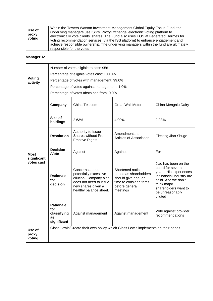# **Manager A:**

| Voting<br>activity                | Number of votes eligible to cast: 956<br>Percentage of eligible votes cast: 100.0%<br>Percentage of votes with management: 99.0%<br>Percentage of votes against management: 1.0%<br>Percentage of votes abstained from: 0.0% |                                                                                                                                             |                                                                                                                          |                                                                                                                                                                                              |
|-----------------------------------|------------------------------------------------------------------------------------------------------------------------------------------------------------------------------------------------------------------------------|---------------------------------------------------------------------------------------------------------------------------------------------|--------------------------------------------------------------------------------------------------------------------------|----------------------------------------------------------------------------------------------------------------------------------------------------------------------------------------------|
| Most<br>significant<br>votes cast | Company                                                                                                                                                                                                                      | China Telecom                                                                                                                               | <b>Great Wall Motor</b>                                                                                                  | China Mengniu Dairy                                                                                                                                                                          |
|                                   | Size of<br>holdings                                                                                                                                                                                                          | 2.63%                                                                                                                                       | 4.09%                                                                                                                    | 2.38%                                                                                                                                                                                        |
|                                   | <b>Resolution</b>                                                                                                                                                                                                            | Authority to Issue<br>Shares without Pre-<br><b>Emptive Rights</b>                                                                          | Amendments to<br>Articles of Association                                                                                 | <b>Electing Jiao Shuge</b>                                                                                                                                                                   |
|                                   | <b>Decision</b><br><b>Note</b>                                                                                                                                                                                               | Against                                                                                                                                     | Against                                                                                                                  | For                                                                                                                                                                                          |
|                                   | <b>Rationale</b><br>for<br>decision                                                                                                                                                                                          | Concerns about<br>potentially excessive<br>dilution. Company also<br>does not need to issue<br>new shares given a<br>healthy balance sheet. | Shortened notice<br>period as shareholders<br>should give enough<br>time to consider items<br>before general<br>meetings | Jiao has been on the<br>board for several<br>years. His experiences<br>in financial industry are<br>solid. And we don't<br>think major<br>shareholders want to<br>be unreasonably<br>diluted |
|                                   | <b>Rationale</b><br>for<br>classifying<br>as<br>significant                                                                                                                                                                  | Against management                                                                                                                          | Against management                                                                                                       | Vote against provider<br>recommendations                                                                                                                                                     |
| Use of<br>proxy<br>voting         |                                                                                                                                                                                                                              | Glass Lewis/Create their own policy which Glass Lewis implements on their behalf                                                            |                                                                                                                          |                                                                                                                                                                                              |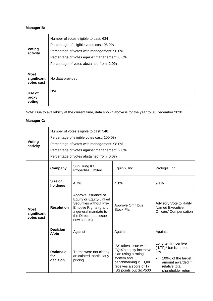# **Manager B:**

| <b>Voting</b><br>activity | Number of votes eligible to cast: 634<br>Percentage of eligible votes cast: 98.0%<br>Percentage of votes with management: 90.0%<br>Percentage of votes against management: 8.0% |  |  |
|---------------------------|---------------------------------------------------------------------------------------------------------------------------------------------------------------------------------|--|--|
| <b>Most</b>               | Percentage of votes abstained from: 2.0%                                                                                                                                        |  |  |
| significant<br>votes cast | No data provided                                                                                                                                                                |  |  |
| Use of<br>proxy<br>voting | N/A                                                                                                                                                                             |  |  |

Note: Due to availability at the current time, data shown above is for the year to 31 December 2020.

# **Manager C:**

| <b>Voting</b><br>activity                | Number of votes eligible to cast: 546<br>Percentage of eligible votes cast: 100.0%<br>Percentage of votes with management: 98.0%<br>Percentage of votes against management: 2.0%<br>Percentage of votes abstained from: 0.0% |                                                                                                                                                                                   |                                                                                                                                                                   |                                                                                                                                                          |
|------------------------------------------|------------------------------------------------------------------------------------------------------------------------------------------------------------------------------------------------------------------------------|-----------------------------------------------------------------------------------------------------------------------------------------------------------------------------------|-------------------------------------------------------------------------------------------------------------------------------------------------------------------|----------------------------------------------------------------------------------------------------------------------------------------------------------|
| <b>Most</b><br>significant<br>votes cast | Company                                                                                                                                                                                                                      | Sun Hung Kai<br><b>Properties Limited</b>                                                                                                                                         | Equinix, Inc.                                                                                                                                                     | Prologis, Inc.                                                                                                                                           |
|                                          | Size of<br>holdings                                                                                                                                                                                                          | 4.7%                                                                                                                                                                              | 4.1%                                                                                                                                                              | 9.1%                                                                                                                                                     |
|                                          | <b>Resolution</b>                                                                                                                                                                                                            | Approve Issuance of<br><b>Equity or Equity-Linked</b><br>Securities without Pre-<br><b>Emptive Rights (grant</b><br>a general mandate to<br>the Directors to issue<br>new shares) | <b>Approve Omnibus</b><br><b>Stock Plan</b>                                                                                                                       | Advisory Vote to Ratify<br><b>Named Executive</b><br>Officers' Compensation                                                                              |
|                                          | <b>Decision</b><br><b>Note</b>                                                                                                                                                                                               | Against                                                                                                                                                                           | Against                                                                                                                                                           | Against                                                                                                                                                  |
|                                          | <b>Rationale</b><br>for<br>decision                                                                                                                                                                                          | Terms were not clearly<br>articulated, particularly<br>pricing                                                                                                                    | ISS takes issue with<br>EQIX's equity incentive<br>plan using a rating<br>system and<br>benchmarking it. EQIX<br>receives a score of 17,<br>ISS points out S&P500 | Long term incentive<br>$("LTI")^*$ bar is set too<br>low<br>100% of the target<br>$\bullet$<br>amount awarded if<br>relative total<br>shareholder return |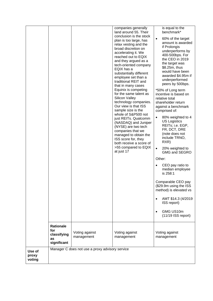|                           |                                                             |                                                 | companies generally<br>land around 55. Their<br>conclusion is the stock<br>plan is too large, has<br>relax vesting and the<br>broad discretion on<br>accelerating it. We<br>reached out to EQIX<br>and they argued as a<br>tech-oriented company<br>EQIX has a<br>substantially different<br>employee set than a<br>traditional REIT and<br>that in many cases<br>Equinix is competing<br>for the same talent as<br>Silicon Valley<br>technology companies.<br>Our view is that ISS<br>sample size is the<br>whole of S&P500 not<br>just REITs. Qualcomm<br>(NASDAQ) and Juniper<br>(NYSE) are two tech<br>companies that we<br>managed to obtain the | is equal to the<br>benchmark*<br>60% of the target<br>$\bullet$<br>amount is awarded<br>if Prolongis<br>underperforms by<br>400-500bps. For<br>the CEO in 2019<br>the target was<br>\$8.25m, thus<br>would have been<br>awarded \$4.95m if<br>underperformed<br>peers by 500bps.<br>*50% of Long term<br>incentive is based on<br>relative total<br>shareholder return<br>against a benchmark<br>comprised of:<br>80% weighted to 4<br>$\bullet$<br><b>US Logistics</b><br>REITs; i.e. EGP,<br>FR, DCT, DRE<br>(note does not |
|---------------------------|-------------------------------------------------------------|-------------------------------------------------|-------------------------------------------------------------------------------------------------------------------------------------------------------------------------------------------------------------------------------------------------------------------------------------------------------------------------------------------------------------------------------------------------------------------------------------------------------------------------------------------------------------------------------------------------------------------------------------------------------------------------------------------------------|-------------------------------------------------------------------------------------------------------------------------------------------------------------------------------------------------------------------------------------------------------------------------------------------------------------------------------------------------------------------------------------------------------------------------------------------------------------------------------------------------------------------------------|
|                           |                                                             |                                                 | ISS score for, they<br>both receive a score of<br>>55 compared to EQIX<br>at just 17                                                                                                                                                                                                                                                                                                                                                                                                                                                                                                                                                                  | include TRNO,<br>RXR)<br>20% weighted to<br>$\bullet$<br>GMG and SEGRO                                                                                                                                                                                                                                                                                                                                                                                                                                                        |
|                           |                                                             |                                                 |                                                                                                                                                                                                                                                                                                                                                                                                                                                                                                                                                                                                                                                       | Other:                                                                                                                                                                                                                                                                                                                                                                                                                                                                                                                        |
|                           |                                                             |                                                 |                                                                                                                                                                                                                                                                                                                                                                                                                                                                                                                                                                                                                                                       | CEO pay ratio to<br>median employee<br>is 258:1                                                                                                                                                                                                                                                                                                                                                                                                                                                                               |
|                           |                                                             |                                                 |                                                                                                                                                                                                                                                                                                                                                                                                                                                                                                                                                                                                                                                       | Comparable CEO pay<br>(\$29.9m using the ISS<br>method) is elevated vs                                                                                                                                                                                                                                                                                                                                                                                                                                                        |
|                           |                                                             |                                                 |                                                                                                                                                                                                                                                                                                                                                                                                                                                                                                                                                                                                                                                       | AMT \$14.3 (4/2019)<br>ISS report)                                                                                                                                                                                                                                                                                                                                                                                                                                                                                            |
|                           |                                                             |                                                 |                                                                                                                                                                                                                                                                                                                                                                                                                                                                                                                                                                                                                                                       | GMG US10m<br>$(11/19$ ISS report)                                                                                                                                                                                                                                                                                                                                                                                                                                                                                             |
|                           | <b>Rationale</b><br>for<br>classifying<br>as<br>significant | Voting against<br>management                    | Voting against<br>management                                                                                                                                                                                                                                                                                                                                                                                                                                                                                                                                                                                                                          | Voting against<br>management                                                                                                                                                                                                                                                                                                                                                                                                                                                                                                  |
| Use of<br>proxy<br>voting |                                                             | Manager C does not use a proxy advisory service |                                                                                                                                                                                                                                                                                                                                                                                                                                                                                                                                                                                                                                                       |                                                                                                                                                                                                                                                                                                                                                                                                                                                                                                                               |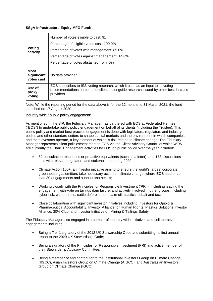# **SSgA Infrastructure Equity MFG Fund:**

| Voting<br>activity                       | Number of votes eligible to cast: 91                                                                                                                                                   |  |  |  |
|------------------------------------------|----------------------------------------------------------------------------------------------------------------------------------------------------------------------------------------|--|--|--|
|                                          | Percentage of eligible votes cast: 100.0%                                                                                                                                              |  |  |  |
|                                          | Percentage of votes with management: 85.0%                                                                                                                                             |  |  |  |
|                                          | Percentage of votes against management: 14.0%                                                                                                                                          |  |  |  |
|                                          | Percentage of votes abstained from: 0%                                                                                                                                                 |  |  |  |
| <b>Most</b><br>significant<br>votes cast | No data provided                                                                                                                                                                       |  |  |  |
| Use of<br>proxy<br>voting                | EOS subscribes to ISS' voting research, which it uses as an input to its voting<br>recommendations on behalf of clients, alongside research issued by other best-in-class<br>providers |  |  |  |

Note: While the reporting period for the data above is for the 12 months to 31 March 2021, the fund launched on 17 August 2020

## Industry wide / public policy engagement:

As mentioned in the SIP, the Fiduciary Manager has partnered with EOS at Federated Hermes ("EOS") to undertake public policy engagement on behalf of its clients (including the Trustee). This public policy and market best practice engagement is done with legislators, regulators and industry bodies and other standard setters to shape capital markets and the environment in which companies and their investors operate, a key element of which is risk related to climate change. The Fiduciary Manager represents client policies/sentiment to EOS via the Client Advisory Council of which WTW are currently the Chair. Engagement activities by EOS on public policy over the year included:

- 52 consultation responses or proactive equivalents (such as a letter), and 173 discussions held with relevant regulators and stakeholders during 2020;
- Climate Action 100+, an investor initiative aiming to ensure the world's largest corporate greenhouse gas emitters take necessary action on climate change, where EOS lead or colead 30 engagements and support another 14;
- Working closely with the Principles for Responsible Investment ('PRI'), including leading the engagement with Vale on tailings dam failure, and actively involved in other groups, including cyber risk, water stress, cattle deforestation, palm oil, plastics, cobalt and tax.
- Close collaboration with significant investor initiatives including Investors for Opioid & Pharmaceutical Accountability, Investor Alliance for Human Rights, Plastics Solutions Investor Alliance, 30% Club, and Investor Initiative on Mining & Tailings Safety.

The Fiduciary Manager also engaged in a number of industry wide initiatives and collaborative engagements including:

- Being a Tier 1 signatory of the 2012 UK Stewardship Code and submitting its first annual report to the 2020 UK Stewardship Code;
- Being a signatory of the Principles for Responsible Investment (PRI) and active member of their Stewardship Advisory Committee;
- Being a member of and contributor to the Institutional Investors Group on Climate Change (IIGCC), Asian Investors Group on Climate Change (AIGCC), and Australasian Investors Group on Climate Change (IGCC);